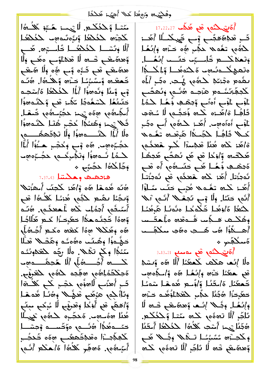وفَحْيْهِ وَرُوهُا مَمْلاً أَصَىٰ: هَٰذَهُا

مَّتَا وَجَكْكُمْ. لَا يَجِبَ هَجَوْ كَلَّمُوا لْكَجْرَةَ لَكُلْكُلُّ وَبَرْءتُنَاهِبَ لَكُلْكُلُّ أَلَّا وَتَسْطِ حَكَمْهُكَ ذَاكْبِرَ مَكَنَّ وَجَعدَهُ حَتَّى اللَّهُ الْمُعَاهَدِ وَمَعْنَا وَاللَّهُ مَعْنَى وَالَّهَ هدهُ هُبْ شُبُّ فُبُّه فُبِّ رَقُّ فَلَّا هُ هُمْ ضُعفَده وُسْتَبْتُلْ حَنْزَه وَلِلْأَلْمَالِ هُنَّ فْٕ فَمِنْا وِنُوهووُا ٱلْمِالَ حَكَمْكُمْ وَٱسْتِ كَثّْبُهُا ۖ حَشَفُوبُا ۚ تَكُن ۚ هَى وَلَحْشُوهِ وَالْمَسَاءِ ۖ ثُلا يْهِمْ وَهَٰىنُكُمْ لَحْجَمِ هُنَا كَلُّهِ وَفَا هِلًا أَيَّاً لِكَنُّـــــهِ وَذَا وَلَّا تَجْخُعِثُمَّـــــمٍ لِمَجْبَرُهُ مِن رَبُّهُمْ وَجِبَ وَكُنَّجَعِ الْمَنْوَا أَبَّا لحَــٰمَاء شَــٰمُوزًا وَتَكْمِيكَــٰمِ لِحَـٰـٰٓءِمِوت وَجَاحُدُ احجَّبَ \*

وزدهن ومكشا 7.37.43

هُنّه هُدها هُه وْاهُدْ كُجِنّ أَعْفُرُكُمْ وَّىجُىْا بِمُبْعِ حَجَّمٍ هُوَىٰا كَلَّمُوا هُج أَسَّنَفُم أَجِمَٰلِ لَا الْمَعْدُومِ. 20 أَسْتَدَمَ وَّههُا خَجِئَـم هٰذُا حَجَّزِحَـٰٓ;ا كَــمِ هَٰلَاجُـا اهَه وِهَٰێڵڵ۞ وَا کَنْدُوه مَکْـعِ ٱجُـهُکِّـهِ حَدُّءوُّا وِهُنف هُوَءَـُـه وِهَٰحَـــلا مْنَـلا مَنْكُما وكُمْ تَكْلاً. ولَّا رَجَّه لِاعْتَاوِنُتُم لَكْتُ الْجُمْسِيمُ ﴾ [أَلَا هُجِعَّـَـــوهِ ەَجْكَحُمُلِمُّە، ھِجُجە كْمُّە، كَعْرَفْ،. صِّرِ اُهنَّبِ لَّاهِؤُهِ حَجْـرٍ كَبِ كَلَّــٰهَا وِتَاأُكِم ۚ هَبُعُب ۚ هُؤُلا ۚ وَهُنَا ۚ هُم هَـا وَّاهِجٌ ۚ هُم أَوْكَا وَهُوْهُم لَّا يُرِكُم مِنِّع هُنُا هؤمِهِم. هُدَجَّبِهِ كُنُّهُمْ نَبِيطًا حَمَّـــهِ مُكِمَّا ۚ هُنَّـــهِ ۖ مِهۡخُــبـــه ۚ وَجشـــا لْكَفِكُمْ أَا مَعْدَدُهِعَمْبِ وَوَّهَ خُدَجُبِ أَيَّ دِهُومٍ, هُجِوَ بِكَلُّهُ أَهْلُمُ عَلَيْهِمْ أَنَّـمٍ

. **أَىّ كَ مَكْمَى 17.**22.27 ضَّہِ شَدْمَاصَفَے ہِے ضَکِکَساً اُھُ۔ لهُوْمٍ تَعْمَلا لِمَبْدِ وَهُو حَـٰٓوَهِ وَإِنْعُـٰلَ وتعدا كل حر حُاسيِّت حَنَّـت إنْهُـــا. ەتھەڭگەنىسە ەكئەھُك ۆلگگا لعُمو وجْنِكِ لَهُ مِنْ لَهِ حَمْدٍ أَلَمُو كْجَجَّرْنَشُـوم مْزْجِـوْ هُنُـوٍ وِنُعَجَّـحِ لْمُوْبِ لْمُوْبِ أُهَٱبٍ وَجَمْعَتِ وَّهُـا كَـٰهُ! ثَافُا هُ/هُــ;ه عُــه وَُحجَّــه لَا ـُــهُڢ لْمُوْبِ أَهَاهِ وَبِي. أَهَدَ كَمِثْهُمْ أَبِ هِجْمِ كَــلًا قَافُــل حَجَّــٰدًا هُبِقَــده تَعُــمَــد ةَاهَٰذ ݣَاه هُلَا هْدِّسْلَا كُلِّي هْعَدُّمْ } هُكْتُمُ وَٱوْكُلُّ هُمْ هُمْ نُعْجُمْ هُدِهُـلُّ هُجِفْتِ فُصُّا هُے حَسَّـةُ ) أَه هُــم بُهجزُمْا, أُهُدَ كَلاه خَصْفُهِ هُو نُوجزُمْا أُهُم: كُلُّه تَعُمِيه هُبْبٍ حَنَّمٍ مَّاؤًا أَنَّهٖ حَنَّا. وَلَا ثَمِ نَحِمْـهِ أَنَّـمٍ آَلا ۖ لأَهْلَا هَاوْهُمَا خَكْدَهُما مِنْدَمَا هَٰبِهُمُا وهُكْلُمَا قَلَمُ مِنْ فُلْمَقْتِهِ وَلَمْعَةً مِن أَهْــَـٰذُوْا هُـَـَ هُــَـٰبَ هَ هُجَـَـَـَـبِ مَكْفِّـَـَـب ەمكېس ھ

3.13.21 بلمحم مثل وشكرتناه هِلًا إِنَّمَا هَكُمَا خُمْعَتُمْ أَلَّا هَءٍ وَّبِشَجْ هُمْ هَمُنَا خَزْهِ وَإِنْهُا هُوَ وَٱسْلَاهِ كُمعَكْمُا. هَ/مكْتُمْ وَّهُوَّسِعِ هُدِهْمَا مْدَدْمَ حَعَّزِجَٰزًا هُجِّئًا حَجَّبِ خَعْجَاؤُهُــهِ حَـٰٓرَه وْ)ِنُمُا. وِجُــلا )ِنُــم وِّمدهَــمْــع خْـــه لَّا ئَاجُمِ ٱللْ نَحْقُومِ ۚ كَـٰدَهِ ۖ مَتَـٰا وَمَحْكُكُـٰهِ ۖ. هُجُلًا يَهِمْ أَسْبَ لَلْأَهُ الْمَحْلَاطُ أَحَقُلًا أَمْقَلًا وِكْجِنْرَه مُمُبُرُسًا سَنْمَلاً وِجُلاً هُبِ وَحدهُ هُم خُده لَّا تُاجِّرِ ٱلَّا تَدهَّهِ ۚ كَـده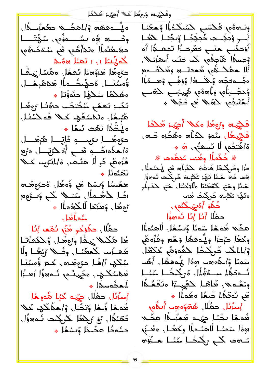وفَحْيْهِ وَرَوهُا مُحْلاً أَصَبَ هَحْدُا

وي وهده والمحك حكمة كال وڤـــــه ﴿ وَ سُـــــووْي . مَكْمُتْــــــل رەۋىخقىد بە رەھ (كەن الْمشخصة لَّكُمْ يُسْلَمُ الْمِنَارِ وَقَالَهُ مَنْ حَوَهُا هُدَوُها تَحَمَّلَ. وهُنَا يَحْقَلْ **َوُّەممُنْــا. ەُحكْمْشْــەلُ**ا ھْھەكْبِـھُــا. ەھُكھُا سُكھُا حثَّو**ُ**ثَا ﴾ تَكَبِّرْ تَعِمَّى مَتَحَتَّفُ حَوْتُا رُوهُا هُرُهُا. ەثْمُمْكُمْ كَبْلا فُوحْشُتُا. ه لُخُدًا نَعْد سُمُا ﴾ دِّعِ هُــــا بِهِــــو دَّاتِـــا هُرْهَـــا. ةاحكَمادَك وَصَبِ أَقطوُ لِ مروج فُنُوهُمْ ثُمْ لًا هِنُبِ ۚ، وۡاٰ النَّهُ بِ كَبِيلًا ثقثوثا و همُسُا وُسْمٍ هُم وُمعًا. ەَحرَّەشە ائا لِمُؤْمَّدَاً. مُتَبَلًا كُمْ وَسَوَّوْمِ رُوهُا. وَمِنْكُمْ لَا كُلُوهُ اللهُ \* مْدَارُدُلْ. حقُلًا. حكَّوْخُرِ هُنَّى تُهْمَ إِتْلَ هُا هَكُمْ ۚ وَقَا وَرُوهُمْ ۖ وَلَٰهُ مِنْ الْمَحْدَةُ لَهُ هُدَــَٰٓىب كُمِعَنُـا وَدَّــلا وَجُعُـا وِلَٰا مُكُلِّ ٱاصُّا حرَّەھْدە . كُلُّ وُّەمْنْدَا هْكَمْكُنْ وَحُيْثُمْ لِمُسْتَمِنَ وَالْمُسْتَمَرَّةَ الْمَسْتَرَامَةَ وَالْمُسَبَّرَةَ مِنْ الْمَسْتَرَامَةَ أعدَّده ما \* إِسْتَمَاءِ. حَقَّاً : حَيْمَ كَبَاءَ هُومِهَا هُدهَا زُمعًا وَتَحْتا. وَ/هِكَكُمٍ كَلا كَتْعَبّْكُلْ. رُوْ رُجْعُلْ خُرِجُنْت شَەرەؤُلْ. حِنُوجًا هِجُبْدًا وُبِيُبُمَا ﴾

وتدهؤه فكشب لمسككة أا وإحكار ٱُٮـِﺮٖ و۪ۡجِدٖۡٮـڢ خَجِدَٰۖڂًـا وَۡىَجۡصَـا ۖ حَفَـا أَوْحَكُبِ هِنَّبٍ حَكَبِحَــٰٓءَا نَجِعَــٰٰٓهَا أَه وْجِسِجًا هُوَجَدُّهِ ۖ كُبِ حَيِّبٍ أَيْحَادِكِمْ. ٱلْا هفَكَــٰذُهِ ۚ هُـمَتِنْــهِ ۚ وَهَكْثُـــهِ مِ ەكـــەنى بَاللَـــە / وَوَهُــــى وَمــــەٰ اُ وَحَكَبِ بِأَوْمٍ وَأَمَّاهُمْ هُجِبَرَ لَهُ مَنْ الْمَحْمَدِ أَهْلَىثُم لَاهَلا هُم خُضْلاً \*

قَدْمٍ وَوَهُمَ مَكَلًا أَتَهَا هَكُمْ فَهْيَهُا. مُدُو حَدْلُه مَفْحُزِه صْحَدٍ. \* قَ . رَبَّْ سَا لَا صَدْتُهْ . 3 *® حُ*ثُه *أَا* وهُن مُحفَّده *®* دُاْ وِحُرِيْكَـدَا فَـْهُـنَ كَـدَّبِلُه مْعِ يُـحَدَّـماُا. هُت دُهْ هُنئُا نَهُ: نَكْبُنُ خُرِيْكَتْ نُوهُوَّا هَمِنْا وِهَبْمِ كَمْعَنْنَا هِلْاوْخُنُنَا. هَبْ حَذَبِلُو ەڭكە: ئىكتېمىنى كىرىگىنىڭ ئىدىن

## مُكُوْ أَةَ تَ كَمُكُمْ . حمُلًا أَبُلَ إِبُلَ نُوهِ وُ

هكُد هُوهَا مْوْمَا وُسْعُا. لْاهْتُواْ وكَعَدًا حَزَحَزًا وِيُّـمَعَطَ وَـمَّـع وِفُزُهِـمَّع وْالْمَلْكُد حُرِيْكُمْا لِحَقْوِمَ بِمُتَكْفَلَ. مْعَمُّا وُٱلكَّاهِ وَوَٰا لِمُعْعَظِ ٱلْقَمَّاءِ ﴾ ئــەتكلا مـــەَةْلَمْل. ەرگىئـــا مىْــا وتمْـهلا. هُلْهْـا لِحَفِّيبِـتْزَا هَنْقَـهُـدًا هْمْ نُوَجُلُهُ شُمُلُ وَهُدَاً ﴾ إِسْتُطُ. حَقُلًا. هُوَّوَّە وَفَّا أَنَّكُومِ هُدهَا بِدًا کہہ هُمَّنَـٰهُا مَکَـٰلا هِهُا مْعَصُلُ لْلْعَشَـٰهِ أَلْـ وَكَعُصًا. وَهُــَىٰ سّده لّکے ریگڈا مُنا ہے:ُوُه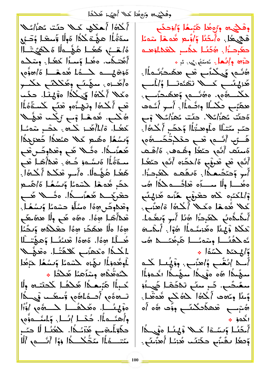وفَحْيْهِ وَرَوهُا مُحْلاً أَصَيْءَ هَكْمَا

أَكْمَا أَحْكَمِهِ كَحِلًا حَنَّتَ تَعْزَائِكَلَّا مِمَّةُ، أَا هَؤُتَ كُلَّا هُولًا وَّمِعْنَا وُصَّى الْمَسْرُهْكُمْ الْمَدْهُمُ الْمُعْهَدُ الْمَسْتَمَاءُ أَهْتِكُفٍ. وهُـا وَمِيرًا كَعُباً. وِسْكُم ەأئعـــزە. مىئىئىم وئىشلىشىم ھكســـو مَكَلا أَكْلَاهُ أَيْكُلُّا هَوْلِمْلَا. حَكَّمَا هْمِ أَكْدُّا وِنْهِ زُهْ هُنَّى كُنْتُهُمْ الْهُمَا ھُنْبٍ. هُدها ہُب رُكُّب هُؤُلا كَعُما. ةَالمُأَهَّد: كُلُّهِ . حَشْرِ مْدَسَل وَسَمُّا مَقَّع كَلا مَتْعَدًّا خَعْدِهَا هُمَّنكُل هُنَّى هُم وِتَعَدْوِكُمْ شَمَّ مَدَّةُ أَلَّا هَ سُدَهَ وَ دُونَ وَ هُدَاً هُمْ آَهُمْ مَنْ هُعُـا هُؤُـهِلًا. ه/ُـــو مْكَـٰهِ /ُكْـهُاْ. حَدٍّ هُوهَا كَشُوبًا وَسَنُعًا وَأَهُنَّعَ حقْدِبُكُمْ هُمْنَ حُمْلٍ. هِ تَصْلًا هُب وقداوكُن وهُ أحمَلُو حشومًا وَسَنْعُلَ. مْداَٰ هَا، مَوَّه هُم بِاُل مِنْمَضَ هِهُا ولَا مِثْقِجٌ هِهُا حَمْدُهُ وَيَحَدُّلُ هُــأَلَمْ هِهُا. هَاهُمَّا هُنْشُــا وَهَهَّتَــأَلَّا لمكْمًا مْدْهَبْبِ ݣْلْافْتُا. مْعْشُلْا ـلْوِهُدومُاْ بِجُزِهِ ۚ حَسْدِيْا وَبِسُمُا جَرْهُا لمُتَعَفُّدُه وسْلَحْدُا \* حْبِلًا هَبُعِيدًا مُحْفًا كُحْتَيْهِ وِلَا الْمَرِغَ سَــفَمَّةَ وَهُمَّكَــهِ أَمَّ وَهُمَــةَ دْوْيِبْسَا. دَهُكْفُسا كَسْدُّەي اُوْٱلْ وأهسُــولَما. حُكْــا إنْــا. وَلمنْــووْى حكَّةِلُّمْسَ هَٰزَنُــكَا. ۖ حَجَّنُــا لَٰا حَسَّـ مَّتْ هُلًا مِّخُكْــدًا وَوُا أَثَّـــهِ ٱلْلَّ

وفَحْيَى ورُوهُا هُبُعُا وَاوْحِنَب فْحَيْهَا. وأَحْثَا وَاؤُحِرْ شُوهَا شُوعًا حعَدِدُ ٗا ٖ. وُكَنُا حَدَّبِ كَعَمَاوَهــو مَنْ وَالْمَا. شَمْعُ فَيْ مِنْ مِنْ هُنُـه، وَيَكْنُبُ شَيْءَ مِنْكُـرَةٍ وَسَاءُكُــدَا بِ هُزلِمُنَـــ لَا تَتَعَنُّونَـــا وُالْمَـــح لْمَكْسَبِيُّونَ وَالْمُسْتَمِعِ وَمَعْقَمَدَتُوسِيمَ. ههَّبُبِ ثَكْتُلًا وِاثْثُقَاًا. أُسِرِ أُنْثُقُف ەَحنّتْ مُعزّْامُلا. حنّت مُعزّْاسُلا وْبِ حِبْ مِّتْلًا هِلُوهِ تُذَا وَحِجَّةِ أَكْدَةًا . فَــرَّى أَنَـــه شـــم حـدْدْخُـمَــــرةُه م هُمِنَكَ أَنَّهَ حَبْعَاً وِهُءَفٍ. هَٰاقَـْعَا أَنَّهِ هُمْ شَرَوْمٍ هَ/حَدَّه أَنَّهِ حَمَّدًا أَمِرٍ وَحَكَصُمَكَا). ةَنفَعت كَعَرِضُوا. وهُـــا وِلَا مـــــرُه قَدادُــــوحَكَٰا هُـَـ وْالْمُكْبُوهِ كُلُّهِ حَقَّوْقِ هُنَّتَ هَٰزَلِيَّبَ كَمِلًا هُدِهَا مَكَمًا أَكْتُهَا وْاهْتُبِ. أَلَّكُلُّمَانُ لِكَفَّرِدُوا الْمَانَا أَمِرٍ وَمَعَنَّـمَا. تَعْكُمْ وْلِيئًا هِغْبْشُـهِـلًا هُوْا. أَحْمَــة ثَهِ لِلْهُنُسَالِ وِسْمَنُسَالِ هُرِهُنَسَلِمٍ ۚ هُبِ وَأَلْمَحْتُمْ لَحْتُمَا \* أَسِمْ إِنْقُبِ وُاهِنَّبٍ. وَوَْيُسا كَلَمْهِ الْمَهْدَا الْمَدْهُمَا الْمَرِؤُهَ وَهْ الْمَدْهَمَا سمِّمَّب، کَبِّ سَبِّ تَلاَحُهَا کَبِ اُوْ<br>وَ*مَاْ*ا وِمَّەت أَکْدُّا حَدُّکَبِ شَفَقَا۔ هُنۡنِــــم ۖ تَعۡنَفُكُمۡنَـــم ۖ وَوَّد ۖ هُ٥ أَ٥ اگدۇ پ أَمْحَنُـا وَسَنَـةَا كَــلا وْعِنُـا هَيْــدَأْ وَحِعُدُ بِعَيْنِ حَجَّنَبٍ هُزَيْهِ أَهْزَيْنِي.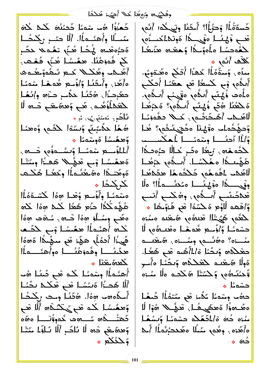وفَحْيْهِ وَرُوهُا مُحْلاً أَصَبِ: هَٰكَمَا

كَعَزُوْا هُ۔ سْمِئْا كَحِئْلُهْ كَلِّكَ كُلْهَ مَّمِسُلًا وأَهِدٌ وَأَلَّا رَبِّ وَجَمَدُ ا هُحرُّهڤعه لُحُا هُنًى تَشُمِي حَكْمِ لَٰٓٓٓ هُوَوَٰمُلُا. همُسُل هُنَّوَ هُمْعَ. أهَكم وهُكُلا كُلْع تُلفُوَمُعُلُّدِهِ هأَهَٰذِ. وأَحَضُلُ وَٱوْۡــم هُـٰمَــمُــل عَـٰمَـٰـلُ حعَدِدُ!. هُدَّسًا حدَّمٍ حـْرَه وإِسْعًا لِلْعَلِمَأَوُّهُــهِ. هَــمٍ وَحدهُ حَتَّمٍ تَــده لَّا ئاكر. ئەملەن، ئو م هُهُا حِكْبُهُ وَسَدْهُ كَثُمٍ وُهِمْا وُهمُسُل ەُوسْدا \* ٱلْمَلَوُّسِيعِ مُتَمَسًّا وَسَيَّسَوْوَى حَسِيقٍ. ەَھمُسُل ۋٖٮ شَوُّىلا ھَھ ُڑا مِمَتْل هُوهُتبْدًا هِهْيَعُلُدْهِ أَلْمِ كِعَظُ هُكْلَهَا **ێڔڮٚٮڂٳ؞** متعملا وأؤجع وها هؤا كتنكفأا هُؤُوتُكُمُ احْزَمِ هَعُل كُنْكُمْ وَوَٰا كُلْمَ ەھُـــ ومُــأَوْ 1هُ أُــُـــه . مُـــهُ ص 1هُ أ كُلُّهِ أُهْتُماْ! همَّسْاً وَجِي لِأَكْتُ فَيْ} أَحَدُ} هوَ: هُم سَهَّىٰهُ أَمْرَهُ ا لاملائ مغتل أَهْدَا اللَّهُ مِنْ مَنْ اللَّهُ مَنْ اللَّهُ اللَّهُ مَنْ اللَّهُ مَنْ اللَّهَ مِنْ اللَّهَ مِنْ ا ٱلْا هَدءُ! هَىسُـا هَــ هَـكـد ىحُـُـا أَسْكُوهم هِوْا. هُكْتُا وِسْعَا رِبْكْتُا ا وَهُمَّسُا كُمْ شَيْ كُمْ لَمُسْهُمَّةٍ مِنْ الْمُسْتَمَرَّةِ مِنْ الْمُسْتَمَرَّةِ مِنْ كَعْتُــــدُه مُــــــهِ حَــدُووُّتَــــا هُهُم وَهِدهَ هُو دُو لَا تَاحُـر ٱلْلا تَـاؤُ لِمَنْنَـا وَ حَدُكُم \* َحۡسَكَۃُۢ أَا ۚ وۡحَتُٰٓ أَا ۚ ٱ مَّكۡنَا ۚ وَبَيۡكُٰٓ ا ٱ نَّم ۖ رَهُ فَيَسْمَلُكُمْ وَهُ مِنْ أَهْلِيهِمْ الشَّامِ وَسَمَّدَ مِنْ مِنْ مِنْ مَنْ مِنْ مَنْ مَنْ مَنْ لحَقَّدَسُنَا مَأْوَوُسَمَّا وَجَعْدُهِ مِنْهَدًا بُلاْف *أنَّه \** مِبَرُهِ. وَمِنْقُهُ أَلْ كَحَزَٰا أُتَـٰكُمْ وَهُـٰتَوِبُ. أَبِدُّهِ ۚ وَبِ كَسِعُا مِّي هِعَنَا أُحِكْبِ ، مِمَّاه أَجْرِيَّةَ مِمْلَا الْمَدَّى، مَالَّهُ مِمَّاه هَ لَحْقُنُا هُنَّى وُلِينًى أَسَلُّهَ؟ هَجَرْهُما لْاهَكم أَهُبَدَٰزُهُم بِ كَبِيلًا ۖ فَقُورُهُ ا لَـٰهُ ۚ }مِفۡمَٰرِيۡءُ٥ الۡلوۡءُ٥ صَلَّمَـٰهُـء } وُالْمَا أَحِنُـــا وِسْمَنْـــا لْمَكْســـب لْحُدْهُهِ . رُجِعًا وَضَّرِ كُمَالًا حَرُّوصِهَا هَهَْىلُمَا مَعُنْسَا. أَسِدُّەر حَزَمُنَا لْلَهَمْتِ لِمُفْجَعِدٍ خَلَقُوهُا مِكْمَمُرا وفَى الْمَصْلُمَا مِنْكُمْ الْمُسْتَوَاءُ وَالْمُسْتَوَاءُ وَالْمُ هُكَمَنُسُمٍ أَسِكُومٍ. وَهُكُسُمٍ أَنْسَمِ وَۗاقْعِهِ لَٰلَهُمْ مَكْتَمَا هُمْ فَزَوۡتِهَا ﴾ حَقُّم هَيَّ ثَالَ مُعَدُّه وهُمَّه ممُّزه حشەسُل وُٱوۡٓىـــــــو هُــمــْمـــلَ مقْعَـــوهُ وَلَا مك مَنْ اللَّهِ وَمَنْ اللَّهِ مِنْ اللَّهِ مِنْ اللَّهِ مِنْ اللَّهِ مِنْ اللَّهِ مِنْ اللَّهِ مِنْ حَقَـٰلاًا ۞ وُىـضًا ۞ الْمُ اللَّهُ مَنْ هَـٰهَـٰ ا. ەُولًا ھَىھْىـد للْعْلَــدُاھ وَىـحَّـُـا داَّىــو تَمِكْتُبِيَّةُ مِنْ كَيْتَنَا ۖ مَّكْدِء وَلَا ۖ مُـزَه دشملل ه دەُب وشەمْا مْكَمْ: شَمْ مْتَدَٰمَاْ كُنْصَار وهُــووُّا وَمِنْصَى هُــا. مَدْ كُلُّــــلا وَوَا لُّا مْنَوْهِ دُوْهُ وْالْمُكْلّْدْ حِسْوْسًا وْسْتُغْلَ ه أَهَدَه . وِهُم مَمْلًا مِعْدِدَبِنَدَأَ أَمْدَ ∻ ఈ⇒